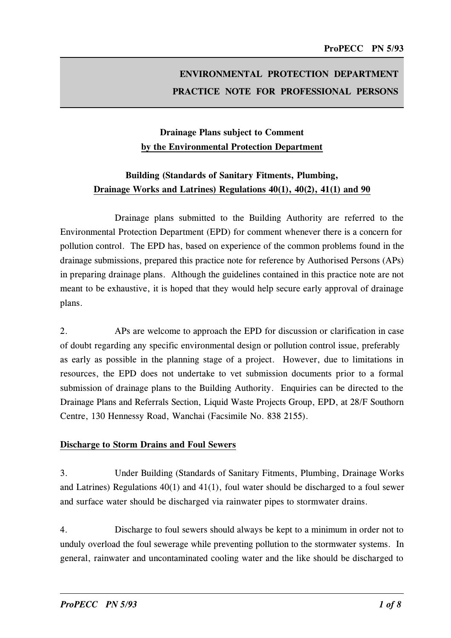# ENVIRONMENTAL PROTECTION DEPARTMENT PRACTICE NOTE FOR PROFESSIONAL PERSONS

## Drainage Plans subject to Comment by the Environmental Protection Department

## Building (Standards of Sanitary Fitments, Plumbing, Drainage Works and Latrines) Regulations  $40(1)$ ,  $40(2)$ ,  $41(1)$  and  $90$

Drainage plans submitted to the Building Authority are referred to the Environmental Protection Department (EPD) for comment whenever there is a concern for pollution control. The EPD has, based on experience of the common problems found in the drainage submissions, prepared this practice note for reference by Authorised Persons (APs) in preparing drainage plans. Although the guidelines contained in this practice note are not meant to be exhaustive, it is hoped that they would help secure early approval of drainage plans.

2. APs are welcome to approach the EPD for discussion or clarification in case of doubt regarding any specific environmental design or pollution control issue, preferably as early as possible in the planning stage of a project. However, due to limitations in resources, the EPD does not undertake to vet submission documents prior to a formal submission of drainage plans to the Building Authority. Enquiries can be directed to the Drainage Plans and Referrals Section, Liquid Waste Projects Group, EPD, at 28/F Southorn Centre, 130 Hennessy Road, Wanchai (Facsimile No. 838 2155).

### Discharge to Storm Drains and Foul Sewers

3. Under Building (Standards of Sanitary Fitments, Plumbing, Drainage Works and Latrines) Regulations 40(1) and 41(1), foul water should be discharged to a foul sewer and surface water should be discharged via rainwater pipes to stormwater drains.

4. Discharge to foul sewers should always be kept to a minimum in order not to unduly overload the foul sewerage while preventing pollution to the stormwater systems. In general, rainwater and uncontaminated cooling water and the like should be discharged to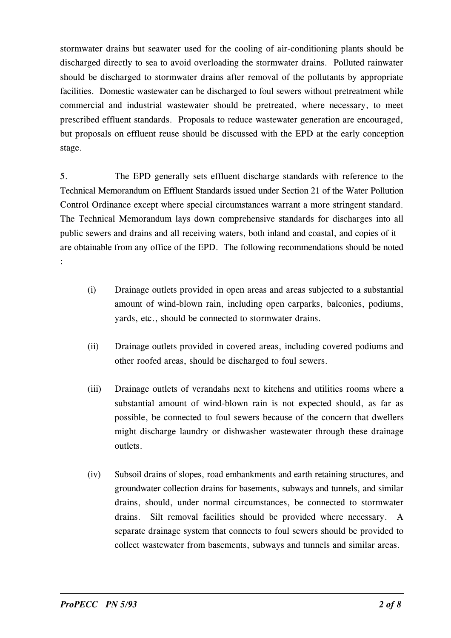stormwater drains but seawater used for the cooling of air-conditioning plants should be discharged directly to sea to avoid overloading the stormwater drains. Polluted rainwater should be discharged to stormwater drains after removal of the pollutants by appropriate facilities. Domestic wastewater can be discharged to foul sewers without pretreatment while commercial and industrial wastewater should be pretreated, where necessary, to meet prescribed effluent standards. Proposals to reduce wastewater generation are encouraged, but proposals on effluent reuse should be discussed with the EPD at the early conception stage.

5. The EPD generally sets effluent discharge standards with reference to the Technical Memorandum on Effluent Standards issued under Section 21 of the Water Pollution Control Ordinance except where special circumstances warrant a more stringent standard. The Technical Memorandum lays down comprehensive standards for discharges into all public sewers and drains and all receiving waters, both inland and coastal, and copies of it are obtainable from any office of the EPD. The following recommendations should be noted �

- (i) Drainage outlets provided in open areas and areas subjected to a substantial amount of wind-blown rain, including open carparks, balconies, podiums, yards, etc., should be connected to stormwater drains.
- (ii) Drainage outlets provided in covered areas, including covered podiums and other roofed areas, should be discharged to foul sewers.
- (iii) Drainage outlets of verandahs next to kitchens and utilities rooms where a substantial amount of wind-blown rain is not expected should, as far as possible, be connected to foul sewers because of the concern that dwellers might discharge laundry or dishwasher wastewater through these drainage outlets.
- (iv) Subsoil drains of slopes, road embankments and earth retaining structures, and groundwater collection drains for basements, subways and tunnels, and similar drains, should, under normal circumstances, be connected to stormwater drains. Silt removal facilities should be provided where necessary. A separate drainage system that connects to foul sewers should be provided to collect wastewater from basements, subways and tunnels and similar areas.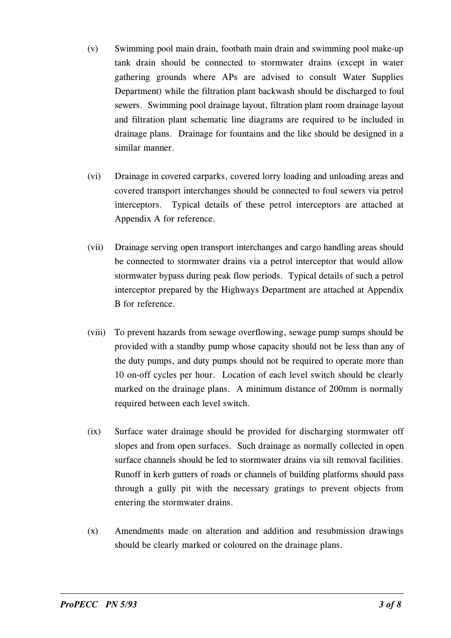- (v) Swimming pool main drain, footbath main drain and swimming pool make-up tank drain should be connected to stormwater drains (except in water gathering grounds where APs are advised to consult Water Supplies Department) while the filtration plant backwash should be discharged to foul sewers. Swimming pool drainage layout, filtration plant room drainage layout and filtration plant schematic line diagrams are required to be included in drainage plans. Drainage for fountains and the like should be designed in a similar manner.
- (vi) Drainage in covered carparks, covered lorry loading and unloading areas and covered transport interchanges should be connected to foul sewers via petrol interceptors. Typical details of these petrol interceptors are attached at Appendix A for reference.
- (vii) Drainage serving open transport interchanges and cargo handling areas should be connected to stormwater drains via a petrol interceptor that would allow stormwater bypass during peak flow periods. Typical details of such a petrol interceptor prepared by the Highways Department are attached at Appendix B for reference.
- marked on the drainage plans. A minimum distance of 200mm is normally (viii) To prevent hazards from sewage overflowing, sewage pump sumps should be provided with a standby pump whose capacity should not be less than any of the duty pumps, and duty pumps should not be required to operate more than 10 on-off cycles per hour. Location of each level switch should be clearly required between each level switch.
- (ix) Surface water drainage should be provided for discharging stormwater off slopes and from open surfaces. Such drainage as normally collected in open surface channels should be led to stormwater drains via silt removal facilities. Runoff in kerb gutters of roads or channels of building platforms should pass through a gully pit with the necessary gratings to prevent objects from entering the stormwater drains.
- (x) Amendments made on alteration and addition and resubmission drawings should be clearly marked or coloured on the drainage plans.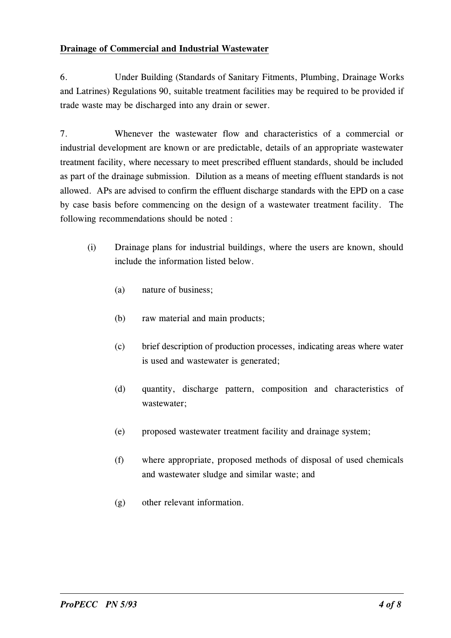### Draina�e of Commercial and Industrial Wastewater

6. Under Building (Standards of Sanitary Fitments, Plumbing, Drainage Works and Latrines) Regulations 90, suitable treatment facilities may be required to be provided if trade waste may be discharged into any drain or sewer.

7. Whenever the wastewater flow and characteristics of a commercial or industrial development are known or are predictable, details of an appropriate wastewater treatment facility, where necessary to meet prescribed effluent standards, should be included as part of the drainage submission. Dilution as a means of meeting effluent standards is not allowed. APs are advised to confirm the effluent discharge standards with the EPD on a case by case basis before commencing on the design of a wastewater treatment facility. The following recommendations should be noted :

- (i) Drainage plans for industrial buildings, where the users are known, should include the information listed below.
	- (a) nature of business;
	- (b) raw material and main products;
	- (c) brief description of production processes, indicating areas where water is used and wastewater is generated;
	- (d) quantity, discharge pattern, composition and characteristics of wastewater;
	- (e) proposed wastewater treatment facility and drainage system;
	- (f) where appropriate, proposed methods of disposal of used chemicals and wastewater sludge and similar waste; and
	- (g) other relevant information.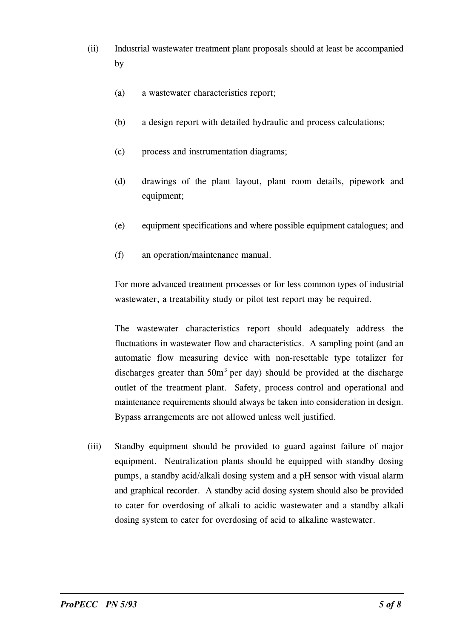- (ii) Industrial wastewater treatment plant proposals should at least be accompanied by
	- (a) a wastewater characteristics report;
	- (b) a design report with detailed hydraulic and process calculations;
	- (c) process and instrumentation diagrams;
	- (d) drawings of the plant layout, plant room details, pipework and equipment:
	- (e) equipment specifications and where possible equipment catalogues; and
	- (f) an operation/maintenance manual.

For more advanced treatment processes or for less common types of industrial wastewater, a treatability study or pilot test report may be required.

The wastewater characteristics report should adequately address the fluctuations in wastewater flow and characteristics. A sampling point (and an automatic flow measuring device with non-resettable type totalizer for discharges greater than  $50m<sup>3</sup>$  per day) should be provided at the discharge outlet of the treatment plant. Safety, process control and operational and maintenance requirements should always be taken into consideration in design. Bypass arrangements are not allowed unless well justified.

(iii) Standby equipment should be provided to guard against failure of major equipment. Neutralization plants should be equipped with standby dosing pumps, a standby acid/alkali dosing system and a pH sensor with visual alarm and graphical recorder. A standby acid dosing system should also be provided to cater for overdosing of alkali to acidic wastewater and a standby alkali dosing system to cater for overdosing of acid to alkaline wastewater.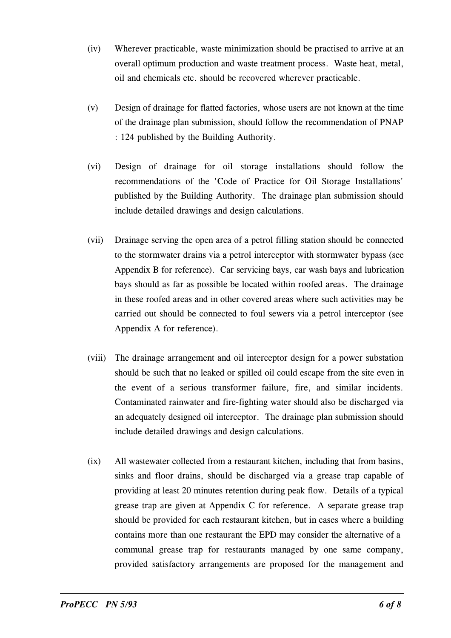- (iv) Wherever practicable, waste minimization should be practised to arrive at an overall optimum production and waste treatment process. Waste heat, metal, oil and chemicals etc. should be recovered wherever practicable.
- (v) Design of drainage for flatted factories, whose users are not known at the time of the drainage plan submission, should follow the recommendation of PNAP : 124 published by the Building Authority.
- (vi) Design of drainage for oil storage installations should follow the recommendations of the 'Code of Practice for Oil Storage Installations' published by the Building Authority. The drainage plan submission should include detailed drawings and design calculations.
- (vii) Drainage serving the open area of a petrol filling station should be connected to the stormwater drains via a petrol interceptor with stormwater bypass (see Appendix B for reference). Car servicing bays, car wash bays and lubrication bays should as far as possible be located within roofed areas. The drainage in these roofed areas and in other covered areas where such activities may be carried out should be connected to foul sewers via a petrol interceptor (see Appendix A for reference).
- (viii) The drainage arrangement and oil interceptor design for a power substation should be such that no leaked or spilled oil could escape from the site even in the event of a serious transformer failure, fire, and similar incidents. Contaminated rainwater and fire-fighting water should also be discharged via an adequately designed oil interceptor. The drainage plan submission should include detailed drawings and design calculations.
- contains more than one restaurant the EPD may consider the alternative of a (ix) All wastewater collected from a restaurant kitchen, including that from basins, sinks and floor drains, should be discharged via a grease trap capable of providing at least 20 minutes retention during peak flow. Details of a typical grease trap are given at Appendix C for reference. A separate grease trap should be provided for each restaurant kitchen, but in cases where a building communal grease trap for restaurants managed by one same company, provided satisfactory arrangements are proposed for the management and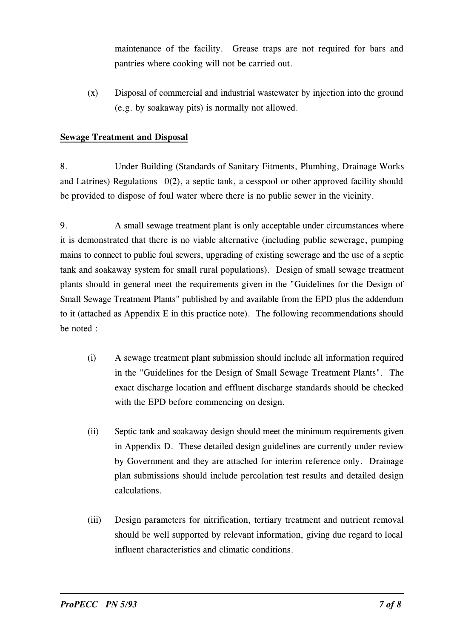maintenance of the facility. Grease traps are not required for bars and pantries where cooking will not be carried out.

 $(x)$  Disposal of commercial and industrial wastewater by injection into the ground (e.g. by soakaway pits) is normally not allowed.

## **Sewage Treatment and Disposal**

8. Under Building (Standards of Sanitary Fitments, Plumbing, Drainage Works and Latrines) Regulations  $0(2)$ , a septic tank, a cesspool or other approved facility should be provided to dispose of foul water where there is no public sewer in the vicinity.

9. A small sewage treatment plant is only acceptable under circumstances where it is demonstrated that there is no viable alternative (including public sewerage, pumping mains to connect to public foul sewers, upgrading of existing sewerage and the use of a septic tank and soakaway system for small rural populations). Design of small sewage treatment plants should in general meet the requirements given in the "Guidelines for the Design of Small Sewage Treatment Plants" published by and available from the EPD plus the addendum to it (attached as Appendix E in this practice note). The following recommendations should be noted :

- (i) A sewage treatment plant submission should include all information required in the "Guidelines for the Design of Small Sewage Treatment Plants". The exact discharge location and effluent discharge standards should be checked with the EPD before commencing on design.
- (ii) Septic tank and soakaway design should meet the minimum requirements given in Appendix D. These detailed design guidelines are currently under review by Government and they are attached for interim reference only. Drainage plan submissions should include percolation test results and detailed design calculations.
- (iii) Design parameters for nitrification, tertiary treatment and nutrient removal should be well supported by relevant information, giving due regard to local influent characteristics and climatic conditions.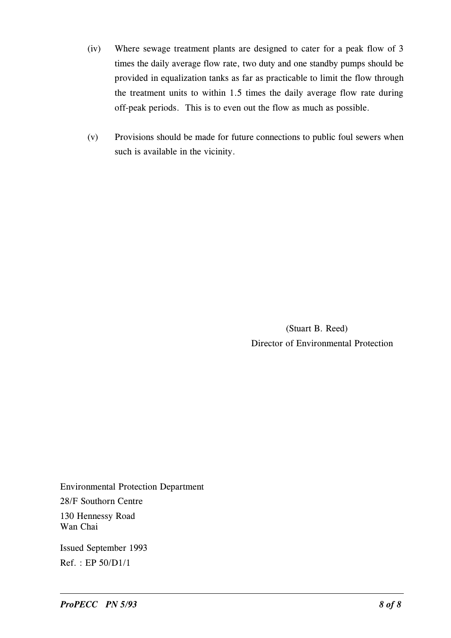- (iv) Where sewage treatment plants are designed to cater for a peak flow of 3 times the daily average flow rate, two duty and one standby pumps should be provided in equalization tanks as far as practicable to limit the flow through the treatment units to within 1.5 times the daily average flow rate during off-peak periods. This is to even out the flow as much as possible.
- (v) Provisions should be made for future connections to public foul sewers when such is available in the vicinity.

 (Stuart B. Reed) Director of Environmental Protection

Environmental Protection Department 28/F Southorn Centre 130 Hennessy Road

Wan Chai

Issued September 1993  $Ref. : EP 50/D1/1$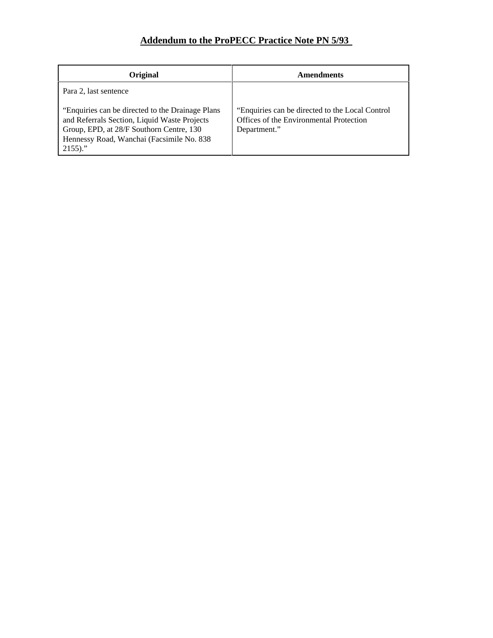## **Addendum to the ProPECC Practice Note PN 5/93**

| Original                                                                                                                                                                                                  | <b>Amendments</b>                                                                                           |
|-----------------------------------------------------------------------------------------------------------------------------------------------------------------------------------------------------------|-------------------------------------------------------------------------------------------------------------|
| Para 2, last sentence                                                                                                                                                                                     |                                                                                                             |
| "Enquiries can be directed to the Drainage Plans"<br>and Referrals Section, Liquid Waste Projects<br>Group, EPD, at 28/F Southorn Centre, 130<br>Hennessy Road, Wanchai (Facsimile No. 838)<br>$2155$ )." | "Enquiries can be directed to the Local Control"<br>Offices of the Environmental Protection<br>Department." |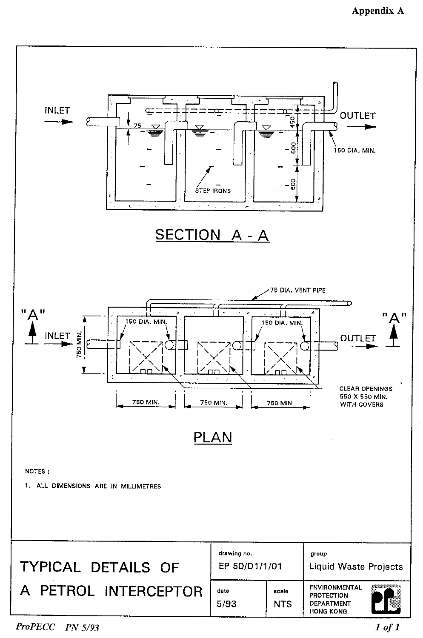

**ProPECC** PN 5/93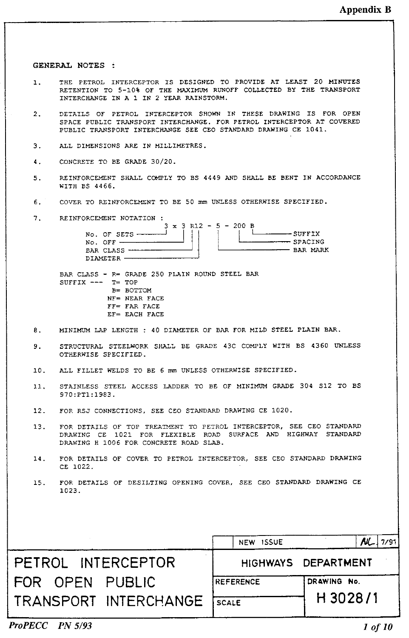GENERAL NOTES :

- THE PETROL INTERCEPTOR IS DESIGNED TO PROVIDE AT LEAST 20 MINUTES 1. RETENTION TO 5-10% OF THE MAXIMUM RUNOFF COLLECTED BY THE TRANSPORT INTERCHANGE IN A 1 IN 2 YEAR RAINSTORM.
- DETAILS OF PETROL INTERCEPTOR SHOWN IN THESE DRAWING IS FOR OPEN  $2<sub>1</sub>$ SPACE PUBLIC TRANSPORT INTERCHANGE. FOR PETROL INTERCEPTOR AT COVERED PUBLIC TRANSPORT INTERCHANGE SEE CEO STANDARD DRAWING CE 1041.
- ALL DIMENSIONS ARE IN MILLIMETRES.  $\mathbf{R}$
- CONCRETE TO BE GRADE 30/20.  $\ddot{4}$ .
- REINFORCEMENT SHALL COMPLY TO BS 4449 AND SHALL BE BENT IN ACCORDANCE  $5.$ WITH BS 4466.
- COVER TO REINFORCEMENT TO BE 50 mm UNLESS OTHERWISE SPECIFIED. 6.
- 7. REINFORCEMENT NOTATION :

|                             | $3 \times 3$ R12 - 5 - 200 B |  |  |                 |
|-----------------------------|------------------------------|--|--|-----------------|
|                             |                              |  |  | $-$ SUFFIX      |
| $NO.$ OFF $\longrightarrow$ |                              |  |  | - SPACING       |
| BAR CLASS ----              |                              |  |  | <b>FAR MARK</b> |
| DIAMETER                    |                              |  |  |                 |

BAR CLASS - R= GRADE 250 PLAIN ROUND STEEL BAR SUFFIX  $---$  T= TOP B= BOTTOM  $NF = NEAR$  FACE  $FF = FAR$  FACE EF= EACH FACE

- MINIMUM LAP LENGTH : 40 DIAMETER OF BAR FOR MILD STEEL PLAIN BAR.  $8 -$
- STRUCTURAL STEELWORK SHALL BE GRADE 43C COMPLY WITH BS 4360 UNLESS 9. OTHERWISE SPECIFIED.
- ALL FILLET WELDS TO BE 6 mm UNLESS OTHERWISE SPECIFIED.  $10.$
- STAINLESS STEEL ACCESS LADDER TO BE OF MINIMUM GRADE 304 S12 TO BS  $7.7$ 970:PT1:1983.
- 12. FOR RSJ CONNECTIONS, SEE CEO STANDARD DRAWING CE 1020.
- FOR DETAILS OF TOP TREATMENT TO PETROL INTERCEPTOR, SEE CEO STANDARD DRAWING CE 1021 FOR FLEXIBLE ROAD SURFACE AND HIGHWAY STANDARD  $13.$ DRAWING H 1006 FOR CONCRETE ROAD SLAB.
- $14$ FOR DETAILS OF COVER TO PETROL INTERCEPTOR, SEE CEO STANDARD DRAWING CE 1022.
- FOR DETAILS OF DESILTING OPENING COVER, SEE CEO STANDARD DRAWING CE  $15.$ 1023.

|                       | NEW ISSUE        | ML.                 |
|-----------------------|------------------|---------------------|
| PETROL INTERCEPTOR    |                  | HIGHWAYS DEPARTMENT |
| FOR OPEN PUBLIC       | <b>REFERENCE</b> | DRAWING No.         |
| TRANSPORT INTERCHANGE | SCALE            | H 3028/1            |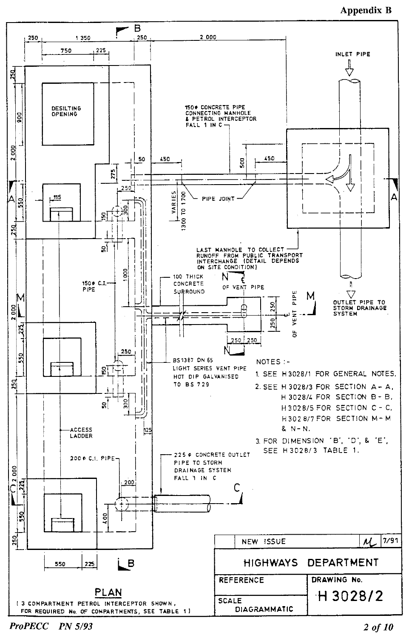### **Appendix B**



**ProPECC** PN 5/93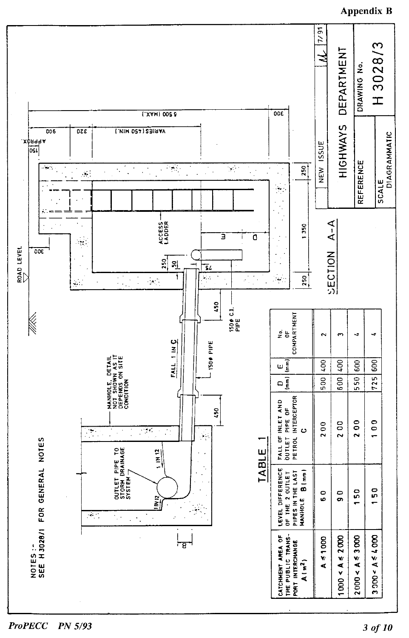

#### **ProPECC** PN 5/93

### **Appendix B**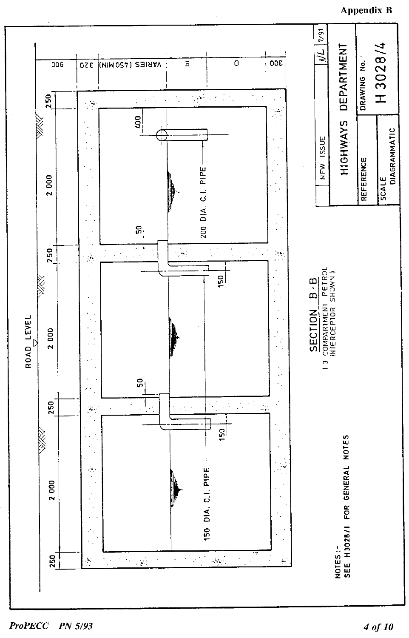**Appendix B** 



**ProPECC** PN 5/93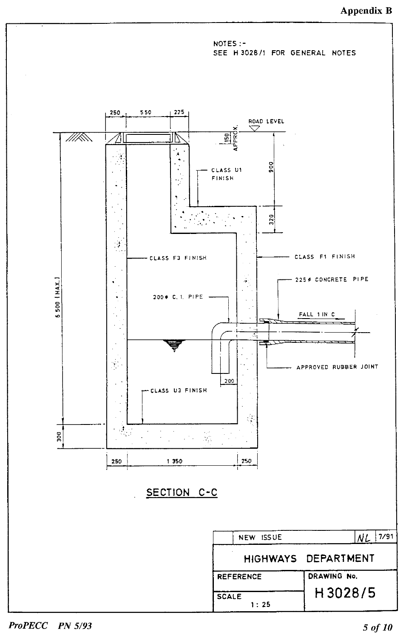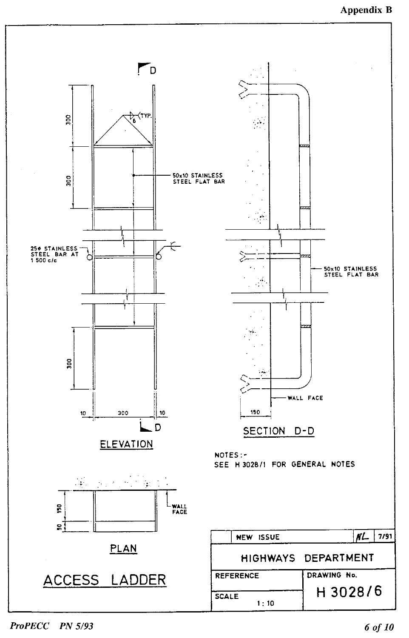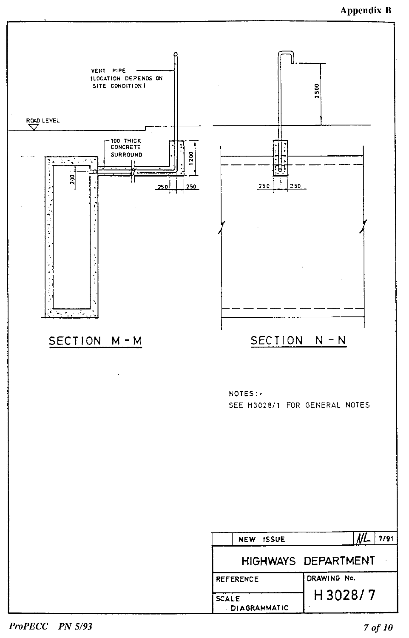

ProPECC PN 5/93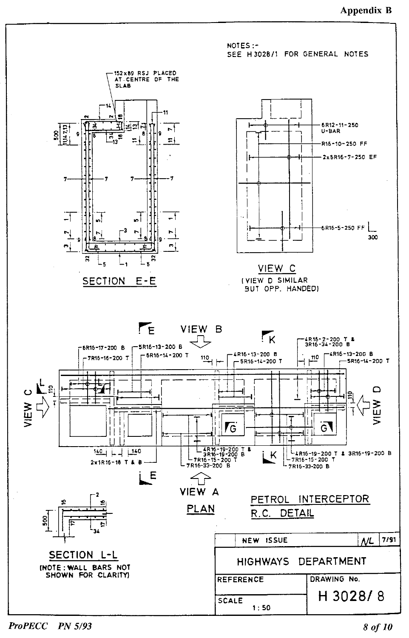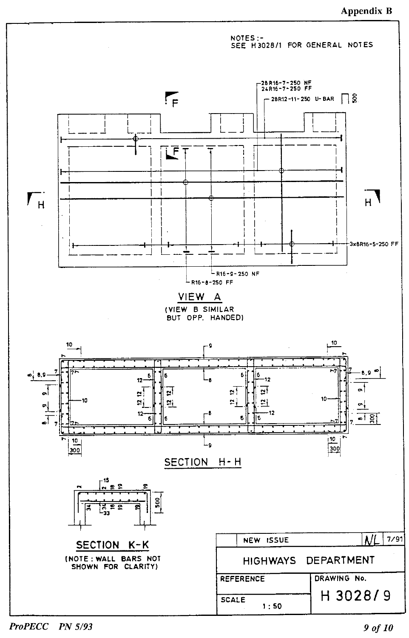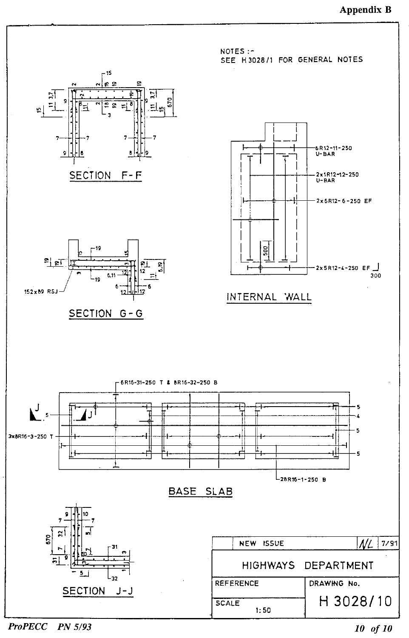

**ProPECC** PN 5/93 10 of 10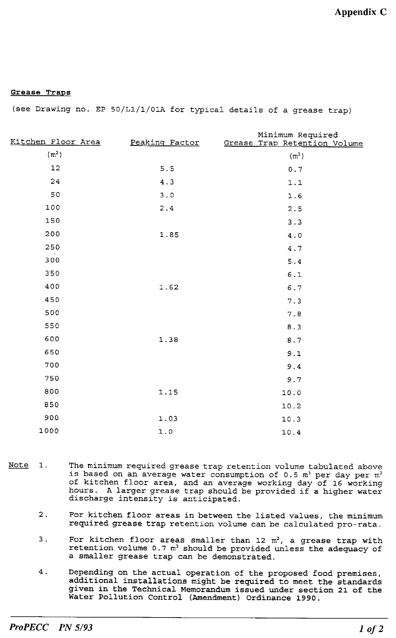### Grease Traps

(see Drawing no. EP 50/L1/1/01A for typical details of a grease trap)

| Kitchen Floor Area | Peaking Factor | Minimum Required<br>Grease Trap Retention Volume |
|--------------------|----------------|--------------------------------------------------|
| (m <sup>2</sup> )  |                |                                                  |
|                    |                | $(m^3)$                                          |
| 12                 | 5.5            | $0.7\,$                                          |
| 24                 | 4.3            | $1.1\,$                                          |
| $-50$              | $3.0$          | 1.6                                              |
| 100                | 2.4            | 2.5                                              |
| 150                |                | 3.3                                              |
| 200                | 1.85           | 4.0                                              |
| 250                |                | 4.7                                              |
| 300                |                | 5.4                                              |
| 350                |                | $6.1\,$                                          |
| 400                | 1.62           | 6.7                                              |
| 450                |                | 7.3                                              |
| 500                |                | 7.8                                              |
| 550                |                | 8.3                                              |
| 600                | 1.38           | $\,8$ . $7$                                      |
| 650                |                | 9.1                                              |
| 700                |                | 9.4                                              |
| 750                |                | 9.7                                              |
| 800                | 1.15           | 10.0                                             |
| 850                |                | 10.2                                             |
| 900                | 1.03           | 10.3                                             |
| 1000               | $1.0$          | 10.4                                             |
|                    |                |                                                  |

- Note<sub>1</sub>. The minimum required grease trap retention volume tabulated above is based on an average water consumption of 0.5 m<sup>3</sup> per day per m<sup>2</sup> of kitchen floor area, and an average working day of 16 working hours. A larger grease trap should be provided if a higher water discharge intensity is anticipated.
	- $2.$ For kitchen floor areas in between the listed values, the minimum required grease trap retention volume can be calculated pro-rata.
	- For kitchen floor areas smaller than 12  $m^2$ , a grease trap with retention volume 0.7  $m^3$  should be provided unless the adequacy of з. a smaller grease trap can be demonstrated.
	- $4.$ Depending on the actual operation of the proposed food premises, additional installations might be required to meet the standards given in the Technical Memorandum issued under section 21 of the Water Pollution Control (Amendment) Ordinance 1990.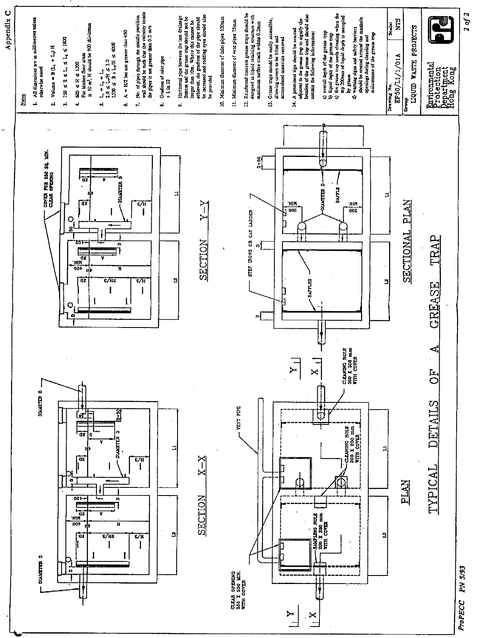

 $20f2$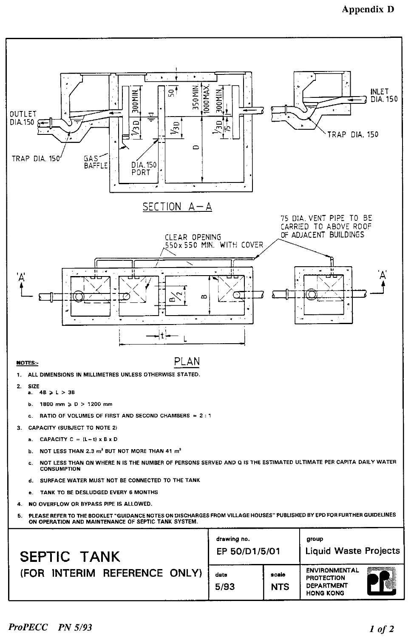## **Appendix D**

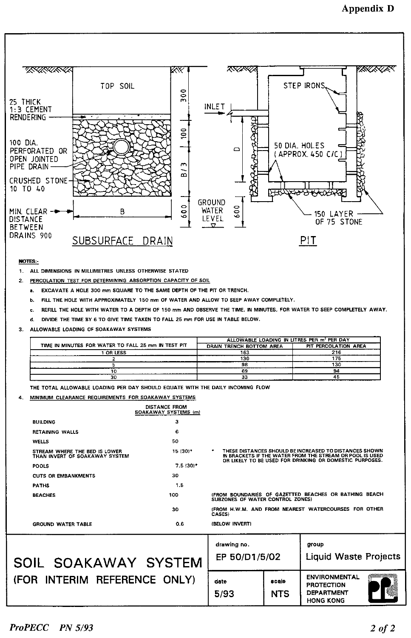

NOTES:-

- 1. ALL DIMENSIONS IN MILLIMETRES UNLESS OTHERWISE STATED
- PERCOLATION TEST FOR DETERMINING ABSORPTION CAPACITY OF SOIL  $2.$ 
	- EXCAVATE A HOLE 300 mm SQUARE TO THE SAME DEPTH OF THE PIT OR TRENCH. а.
	- Ь. FILL THE HOLE WITH APPROXIMATELY 150 mm OF WATER AND ALLOW TO SEEP AWAY COMPLETELY.
	- REFILL THE HOLE WITH WATER TO A DEPTH OF 150 mm AND OBSERVE THE TIME, IN MINUTES, FOR WATER TO SEEP COMPLETELY AWAY. c.
	- DIVIDE THE TIME BY 6 TO GIVE TIME TAKEN TO FALL 25 mm FOR USE IN TABLE BELOW. d.
- 3. ALLOWABLE LOADING OF SOAKAWAY SYSTEMS

|                                                     | ALLOWABLE LOADING IN LITRES PER m <sup>2</sup> PER DAY |                      |  |  |
|-----------------------------------------------------|--------------------------------------------------------|----------------------|--|--|
| TIME IN MINUTES FOR WATER TO FALL 25 mm IN TEST PIT | DRAIN TRENCH BOTTOM AREA                               | PIT PERCOLATION AREA |  |  |
| <b>OR LESS</b>                                      | 163                                                    | . .                  |  |  |
|                                                     | 130                                                    |                      |  |  |
|                                                     | 98                                                     | 130                  |  |  |
|                                                     | 69                                                     | 94                   |  |  |
| 30                                                  | 33                                                     |                      |  |  |

THE TOTAL ALLOWABLE LOADING PER DAY SHOULD EQUATE WITH THE DAILY INCOMING FLOW

#### MINIMUM CLEARANCE REQUIREMENTS FOR SOAKAWAY SYSTEMS  $\mathbf{A}$

|                                                                 | <b>DISTANCE FROM</b><br>SOAKAWAY SYSTEMS (m) |                                                                                                                                                                                |       |  |
|-----------------------------------------------------------------|----------------------------------------------|--------------------------------------------------------------------------------------------------------------------------------------------------------------------------------|-------|--|
| <b>BUILDING</b>                                                 | 3                                            |                                                                                                                                                                                |       |  |
| <b>RETAINING WALLS</b>                                          | 6                                            |                                                                                                                                                                                |       |  |
| <b>WELLS</b>                                                    | 50                                           |                                                                                                                                                                                |       |  |
| STREAM WHERE THE BED IS LOWER<br>THAN INVERT OF SOAKAWAY SYSTEM | 15 (30)*                                     | THESE DISTANCES SHOULD BE INCREASED TO DISTANCES SHOWN<br>IN BRACKETS IF THE WATER FROM THE STREAM OR POOL IS USED.<br>OR LIKELY TO BE USED FOR DRINKING OR DOMESTIC PURPOSES. |       |  |
| <b>POOLS</b>                                                    | $7.5(30)^*$                                  |                                                                                                                                                                                |       |  |
| <b>CUTS OR EMBANKMENTS</b>                                      | 30                                           |                                                                                                                                                                                |       |  |
| <b>FATHS</b>                                                    | 1.5                                          |                                                                                                                                                                                |       |  |
| <b>BEACHES</b>                                                  | 100                                          | (FROM BOUNDARIES OF GAZETTED BEACHES OR BATHING BEACH<br>SUBZONES OF WATER CONTROL ZONES)                                                                                      |       |  |
|                                                                 | 30                                           | (FROM H.W.M. AND FROM NEAREST WATERCOURSES FOR OTHER<br>CASES)                                                                                                                 |       |  |
| <b>GROUND WATER TABLE</b>                                       | 0.6                                          | (BELOW INVERT)                                                                                                                                                                 |       |  |
|                                                                 |                                              | drawing no.                                                                                                                                                                    | group |  |

#### EP 50/D1/5/02 **Liquid Waste Projects** SOIL SOAKAWAY SYSTEM (FOR INTERIM REFERENCE ONLY) **ENVIRONMENTAL** date scale **PROTECTION DEPARTMENT** 5/93 **NTS HONG KONG**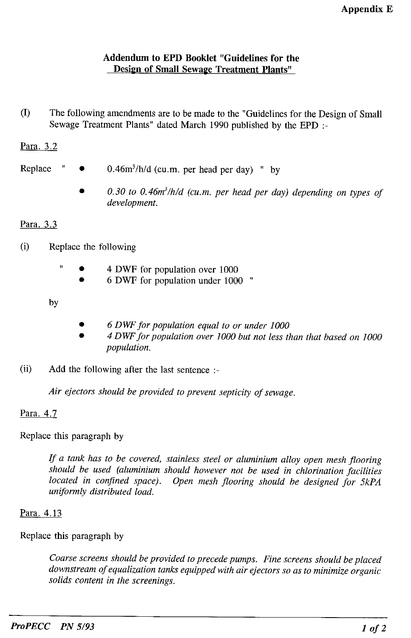### Addendum to EPD Booklet "Guidelines for the Design of Small Sewage Treatment Plants"

 $\left( \mathrm{I}\right)$ The following amendments are to be made to the "Guidelines for the Design of Small Sewage Treatment Plants" dated March 1990 published by the EPD :-

## Para. 3.2

- Replace  $0.46m^3/h/d$  (cu.m. per head per day) " by
	- 0.30 to 0.46 $m^3/h/d$  (cu.m. per head per day) depending on types of development.

### Para. 3.3

- $(i)$ Replace the following
	- 4 DWF for population over 1000
		- 6 DWF for population under 1000 "

by

- 6 DWF for population equal to or under 1000
- 4 DWF for population over 1000 but not less than that based on 1000 population.
- Add the following after the last sentence :- $(ii)$

Air ejectors should be provided to prevent septicity of sewage.

### Para. 4.7

Replace this paragraph by

If a tank has to be covered, stainless steel or aluminium alloy open mesh flooring should be used (aluminium should however not be used in chlorination facilities located in confined space). Open mesh flooring should be designed for 5kPA uniformly distributed load.

### Para, 4.13

Replace this paragraph by

Coarse screens should be provided to precede pumps. Fine screens should be placed downstream of equalization tanks equipped with air ejectors so as to minimize organic solids content in the screenings.